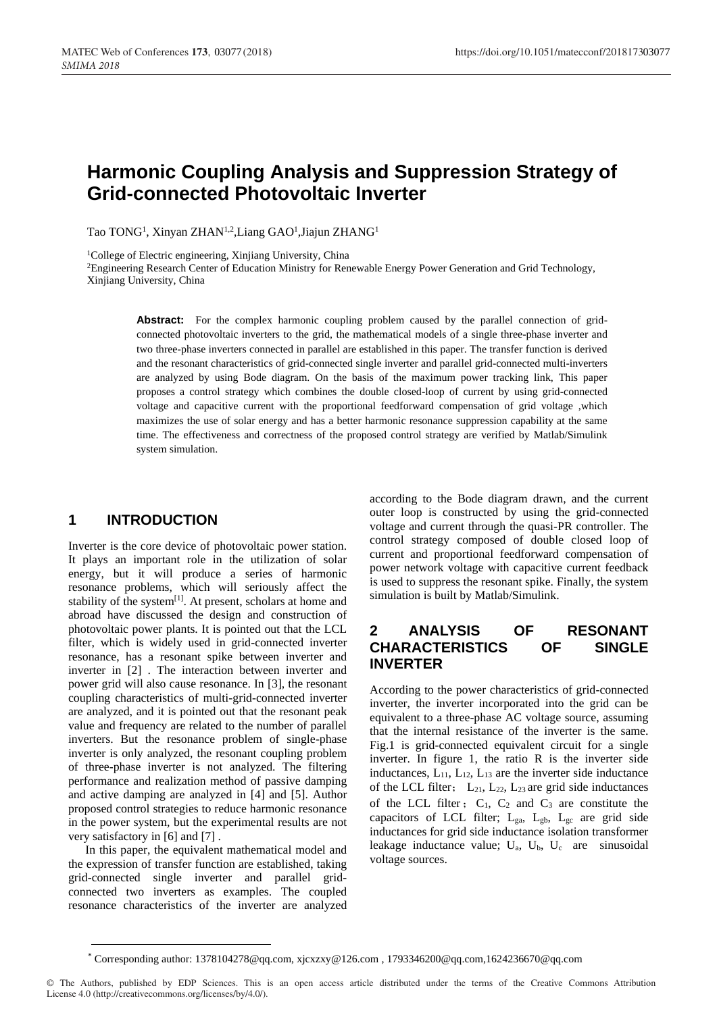# **Harmonic Coupling Analysis and Suppression Strategy of Grid-connected Photovoltaic Inverter**

Tao TONG<sup>1</sup>, Xinyan ZHAN<sup>1,2</sup>,Liang GAO<sup>1</sup>,Jiajun ZHANG<sup>1</sup>

<sup>1</sup>College of Electric engineering, Xinjiang University, China

<sup>2</sup>Engineering Research Center of Education Ministry for Renewable Energy Power Generation and Grid Technology, Xinjiang University, China

Abstract: For the complex harmonic coupling problem caused by the parallel connection of gridconnected photovoltaic inverters to the grid, the mathematical models of a single three-phase inverter and two three-phase inverters connected in parallel are established in this paper. The transfer function is derived and the resonant characteristics of grid-connected single inverter and parallel grid-connected multi-inverters are analyzed by using Bode diagram. On the basis of the maximum power tracking link, This paper proposes a control strategy which combines the double closed-loop of current by using grid-connected voltage and capacitive current with the proportional feedforward compensation of grid voltage ,which maximizes the use of solar energy and has a better harmonic resonance suppression capability at the same time. The effectiveness and correctness of the proposed control strategy are verified by Matlab/Simulink system simulation.

#### **1 INTRODUCTION**

Inverter is the core device of photovoltaic power station. It plays an important role in the utilization of solar energy, but it will produce a series of harmonic resonance problems, which will seriously affect the stability of the system<sup>[1]</sup>. At present, scholars at home and abroad have discussed the design and construction of photovoltaic power plants. It is pointed out that the LCL filter, which is widely used in grid-connected inverter resonance, has a resonant spike between inverter and inverter in [2] . The interaction between inverter and power grid will also cause resonance. In [3], the resonant coupling characteristics of multi-grid-connected inverter are analyzed, and it is pointed out that the resonant peak value and frequency are related to the number of parallel inverters. But the resonance problem of single-phase inverter is only analyzed, the resonant coupling problem of three-phase inverter is not analyzed. The filtering performance and realization method of passive damping and active damping are analyzed in [4] and [5]. Author proposed control strategies to reduce harmonic resonance in the power system, but the experimental results are not very satisfactory in [6] and [7] .

In this paper, the equivalent mathematical model and the expression of transfer function are established, taking grid-connected single inverter and parallel gridconnected two inverters as examples. The coupled resonance characteristics of the inverter are analyzed

according to the Bode diagram drawn, and the current outer loop is constructed by using the grid-connected voltage and current through the quasi-PR controller. The control strategy composed of double closed loop of current and proportional feedforward compensation of power network voltage with capacitive current feedback is used to suppress the resonant spike. Finally, the system simulation is built by Matlab/Simulink.

# **2 ANALYSIS OF RESONANT CHARACTERISTICS OF SINGLE INVERTER**

According to the power characteristics of grid-connected inverter, the inverter incorporated into the grid can be equivalent to a three-phase AC voltage source, assuming that the internal resistance of the inverter is the same. Fig.1 is grid-connected equivalent circuit for a single inverter. In figure 1, the ratio R is the inverter side inductances,  $L_{11}$ ,  $L_{12}$ ,  $L_{13}$  are the inverter side inductance of the LCL filter;  $L_{21}$ ,  $L_{22}$ ,  $L_{23}$  are grid side inductances of the LCL filter;  $C_1$ ,  $C_2$  and  $C_3$  are constitute the capacitors of LCL filter;  $L_{ga}$ ,  $L_{gb}$ ,  $L_{gc}$  are grid side inductances for grid side inductance isolation transformer leakage inductance value;  $U_a$ ,  $U_b$ ,  $U_c$  are sinusoidal voltage sources.

© The Authors, published by EDP Sciences. This is an open access article distributed under the terms of the Creative Commons Attribution License 4.0 (http://creativecommons.org/licenses/by/4.0/).

<sup>\*</sup> Corresponding author: 1378104278@qq.com, xjcxzxy@126.com , 1793346200@qq.com,1624236670@qq.com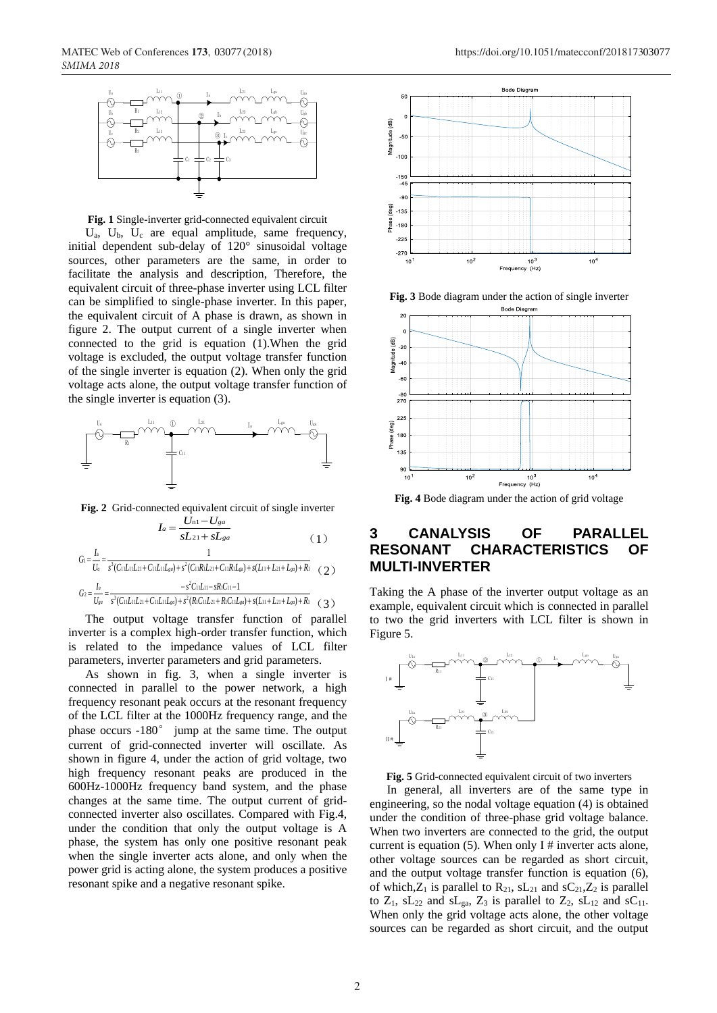

**Fig. 1** Single-inverter grid-connected equivalent circuit

 $U_a$ ,  $U_b$ ,  $U_c$  are equal amplitude, same frequency, initial dependent sub-delay of  $120^\circ$  sinusoidal voltage sources, other parameters are the same, in order to facilitate the analysis and description, Therefore, the equivalent circuit of three-phase inverter using LCL filter can be simplified to single-phase inverter. In this paper, the equivalent circuit of A phase is drawn, as shown in figure 2. The output current of a single inverter when connected to the grid is equation (1).When the grid voltage is excluded, the output voltage transfer function of the single inverter is equation (2). When only the grid voltage acts alone, the output voltage transfer function of the single inverter is equation (3).



**Fig. 2** Grid-connected equivalent circuit of single inverter

$$
I_a = \frac{U_{n1} - U_{ga}}{sL_{21} + sL_{ga}} \tag{1}
$$

$$
G_1 = \frac{I_n}{U_a} = \frac{1}{s^3 (C_1 I_{a1} I_{a1} + C_1 I_{a1} I_{a0}) + s^2 (C_1 I_{a1} I_{a1} + C_1 I_{a1} I_{a0}) + s (L_1 + L_2 + L_{a0}) + R_1}
$$
(2)

$$
G_2 = \frac{I_a}{U_{ge}} = \frac{-s^2 C_{11} L_{11} - sR_{1} C_{11} - 1}{s^3 (C_{11} L_{11} L_{21} + C_{11} L_{11} L_{ge}) + s^2 (R_{1} C_{11} L_{21} + R_{1} C_{11} L_{ge}) + s (L_{11} + L_{21} + L_{ge}) + R_1} \quad (3)
$$

The output voltage transfer function of parallel inverter is a complex high-order transfer function, which is related to the impedance values of LCL filter parameters, inverter parameters and grid parameters.

As shown in fig. 3, when a single inverter is connected in parallel to the power network, a high frequency resonant peak occurs at the resonant frequency of the LCL filter at the 1000Hz frequency range, and the phase occurs -180° jump at the same time. The output current of grid-connected inverter will oscillate. As shown in figure 4, under the action of grid voltage, two high frequency resonant peaks are produced in the 600Hz-1000Hz frequency band system, and the phase changes at the same time. The output current of gridconnected inverter also oscillates. Compared with Fig.4, under the condition that only the output voltage is A phase, the system has only one positive resonant peak when the single inverter acts alone, and only when the power grid is acting alone, the system produces a positive resonant spike and a negative resonant spike.



**Fig. 3** Bode diagram under the action of single inverter



**Fig. 4** Bode diagram under the action of grid voltage

### **3 CANALYSIS OF PARALLEL RESONANT CHARACTERISTICS OF MULTI-INVERTER**

Taking the A phase of the inverter output voltage as an example, equivalent circuit which is connected in parallel to two the grid inverters with LCL filter is shown in Figure 5.



**Fig. 5** Grid-connected equivalent circuit of two inverters

In general, all inverters are of the same type in engineering, so the nodal voltage equation (4) is obtained under the condition of three-phase grid voltage balance. When two inverters are connected to the grid, the output current is equation  $(5)$ . When only I # inverter acts alone, other voltage sources can be regarded as short circuit, and the output voltage transfer function is equation (6), of which, $Z_1$  is parallel to  $R_{21}$ ,  $sL_{21}$  and  $sC_{21}$ ,  $Z_2$  is parallel to  $Z_1$ ,  $SL_{22}$  and  $SL_{\mathfrak{g}_3}$ ,  $Z_3$  is parallel to  $Z_2$ ,  $SL_{12}$  and  $SC_{11}$ . When only the grid voltage acts alone, the other voltage sources can be regarded as short circuit, and the output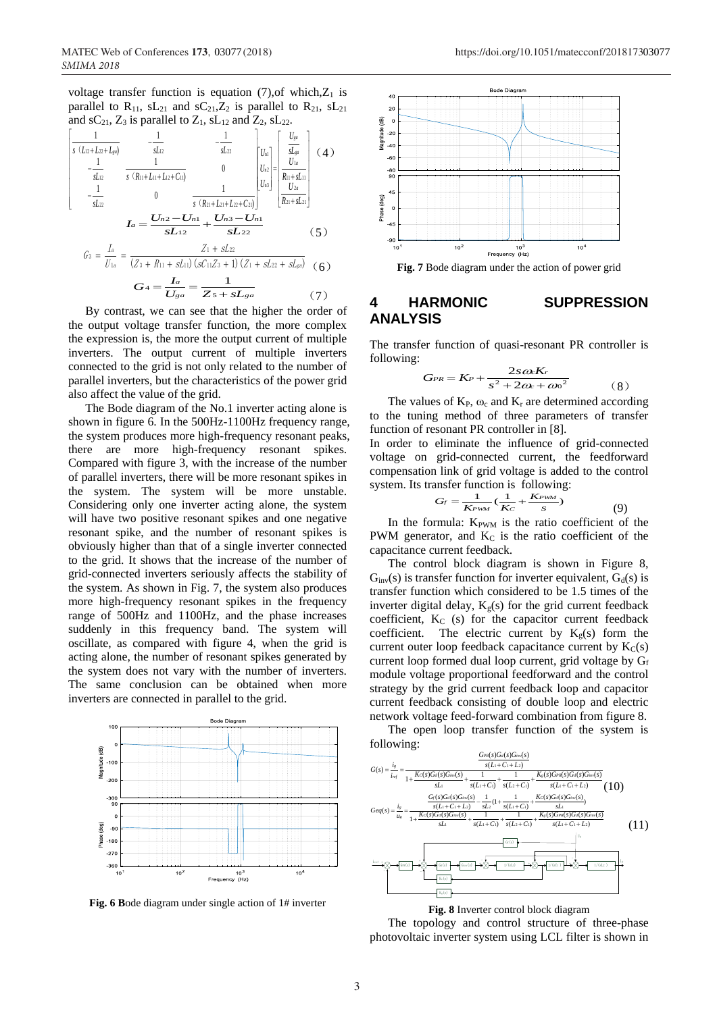voltage transfer function is equation (7), of which,  $Z_1$  is parallel to  $R_{11}$ ,  $sL_{21}$  and  $sC_{21}$ ,  $Z_2$  is parallel to  $R_{21}$ ,  $sL_{21}$ 

and SC<sub>21</sub>, Z<sub>3</sub> is parallel to Z<sub>1</sub>, SL<sub>12</sub> and Z<sub>2</sub>, SL<sub>22</sub>.  
\n
$$
\begin{bmatrix}\n1 & -\frac{1}{s(L_1 + L_2 + L_{gs})} & -\frac{1}{sL_2} & -\frac{1}{sL_2} \\
-\frac{1}{sL_2} & \frac{1}{s(R_{11} + L_{11} + L_{21} + C_{11})} & 0 & |U_{1a}|\frac{U_{1a}}{U_{1a}}| & \frac{U_{1a}}{U_{1a}} \\
-\frac{1}{sL_2} & 0 & \frac{1}{s(R_{21} + L_{21} + L_{22} + C_{21})} & \frac{1}{s(L_1 + S_{21})}\n\end{bmatrix}
$$
\n
$$
L_a = \frac{U_{12} - U_{11}}{sL_{12}} + \frac{U_{13} - U_{11}}{sL_{22}} \qquad (5)
$$
\n
$$
G_3 = \frac{I_a}{U_{1a}} = \frac{Z_1 + S_{22}}{(Z_3 + R_{11} + S_{21}) (S_1 + S_2 + S_1 + S_2)} \qquad (6)
$$
\n
$$
G_4 = \frac{L_a}{U_{3a}} = \frac{1}{Z_5 + S_{2a}} \qquad (7)
$$

By contrast, we can see that the higher the order of the output voltage transfer function, the more complex the expression is, the more the output current of multiple inverters. The output current of multiple inverters connected to the grid is not only related to the number of parallel inverters, but the characteristics of the power grid also affect the value of the grid.

The Bode diagram of the No.1 inverter acting alone is shown in figure 6. In the 500Hz-1100Hz frequency range, the system produces more high-frequency resonant peaks, there are more high-frequency resonant spikes. Compared with figure 3, with the increase of the number of parallel inverters, there will be more resonant spikes in the system. The system will be more unstable. Considering only one inverter acting alone, the system will have two positive resonant spikes and one negative resonant spike, and the number of resonant spikes is obviously higher than that of a single inverter connected to the grid. It shows that the increase of the number of grid-connected inverters seriously affects the stability of the system. As shown in Fig. 7, the system also produces more high-frequency resonant spikes in the frequency range of 500Hz and 1100Hz, and the phase increases suddenly in this frequency band. The system will oscillate, as compared with figure 4, when the grid is acting alone, the number of resonant spikes generated by the system does not vary with the number of inverters. The same conclusion can be obtained when more inverters are connected in parallel to the grid.



**Fig. 6 B**ode diagram under single action of 1# inverter



**Fig. 7** Bode diagram under the action of power grid

## **4 HARMONIC SUPPRESSION ANALYSIS**

The transfer function of quasi-resonant PR controller is following:

$$
G_{PR} = K_P + \frac{2s\omega K_r}{s^2 + 2\omega + \omega^2}
$$
 (8)

The values of  $K_{P}$ ,  $\omega_c$  and  $K_r$  are determined according to the tuning method of three parameters of transfer function of resonant PR controller in [8].

In order to eliminate the influence of grid-connected voltage on grid-connected current, the feedforward compensation link of grid voltage is added to the control system. Its transfer function is following:

$$
G_f = \frac{1}{K_{PWM}} \left( \frac{1}{K_C} + \frac{K_{PWM}}{s} \right)
$$
(9)

In the formula:  $K_{\text{PWM}}$  is the ratio coefficient of the PWM generator, and  $K<sub>C</sub>$  is the ratio coefficient of the capacitance current feedback.

The control block diagram is shown in Figure 8,  $G<sub>inv</sub>(s)$  is transfer function for inverter equivalent,  $G<sub>d</sub>(s)$  is transfer function which considered to be 1.5 times of the inverter digital delay,  $K_g(s)$  for the grid current feedback coefficient,  $K_C$  (s) for the capacitor current feedback coefficient. The electric current by  $K_g(s)$  form the current outer loop feedback capacitance current by  $K_C(s)$ current loop formed dual loop current, grid voltage by Gf module voltage proportional feedforward and the control strategy by the grid current feedback loop and capacitor current feedback consisting of double loop and electric network voltage feed-forward combination from figure 8.

The open loop transfer function of the system is following:





The topology and control structure of three-phase photovoltaic inverter system using LCL filter is shown in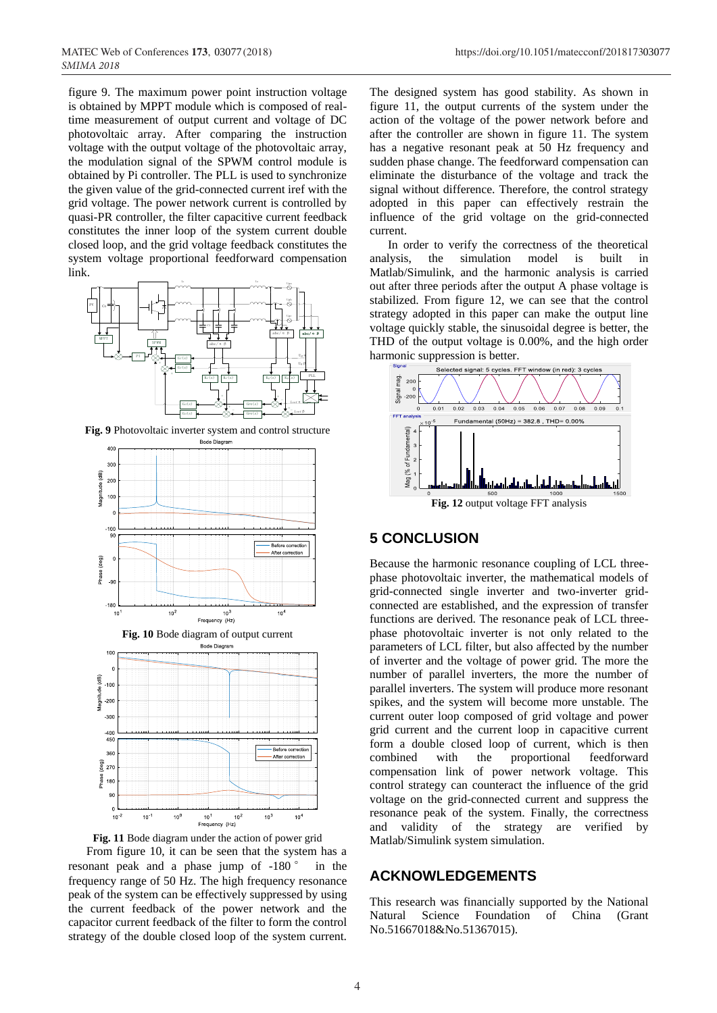figure 9. The maximum power point instruction voltage is obtained by MPPT module which is composed of realtime measurement of output current and voltage of DC photovoltaic array. After comparing the instruction voltage with the output voltage of the photovoltaic array, the modulation signal of the SPWM control module is obtained by Pi controller. The PLL is used to synchronize the given value of the grid-connected current iref with the grid voltage. The power network current is controlled by quasi-PR controller, the filter capacitive current feedback constitutes the inner loop of the system current double closed loop, and the grid voltage feedback constitutes the system voltage proportional feedforward compensation link.



**Fig. 9** Photovoltaic inverter system and control structure







From figure 10, it can be seen that the system has a resonant peak and a phase jump of -180 ° in the frequency range of 50 Hz. The high frequency resonance peak of the system can be effectively suppressed by using the current feedback of the power network and the capacitor current feedback of the filter to form the control strategy of the double closed loop of the system current.

The designed system has good stability. As shown in figure 11, the output currents of the system under the action of the voltage of the power network before and after the controller are shown in figure 11. The system has a negative resonant peak at 50 Hz frequency and sudden phase change. The feedforward compensation can eliminate the disturbance of the voltage and track the signal without difference. Therefore, the control strategy adopted in this paper can effectively restrain the influence of the grid voltage on the grid-connected current.

In order to verify the correctness of the theoretical analysis, the simulation model is built in Matlab/Simulink, and the harmonic analysis is carried out after three periods after the output A phase voltage is stabilized. From figure 12, we can see that the control strategy adopted in this paper can make the output line voltage quickly stable, the sinusoidal degree is better, the THD of the output voltage is 0.00%, and the high order harmonic suppression is better.



# **5 CONCLUSION**

Because the harmonic resonance coupling of LCL threephase photovoltaic inverter, the mathematical models of grid-connected single inverter and two-inverter gridconnected are established, and the expression of transfer functions are derived. The resonance peak of LCL threephase photovoltaic inverter is not only related to the parameters of LCL filter, but also affected by the number of inverter and the voltage of power grid. The more the number of parallel inverters, the more the number of parallel inverters. The system will produce more resonant spikes, and the system will become more unstable. The current outer loop composed of grid voltage and power grid current and the current loop in capacitive current form a double closed loop of current, which is then combined with the proportional feedforward compensation link of power network voltage. This control strategy can counteract the influence of the grid voltage on the grid-connected current and suppress the resonance peak of the system. Finally, the correctness and validity of the strategy are verified by Matlab/Simulink system simulation.

## **ACKNOWLEDGEMENTS**

This research was financially supported by the National Natural Science Foundation of China (Grant No.51667018&No.51367015).